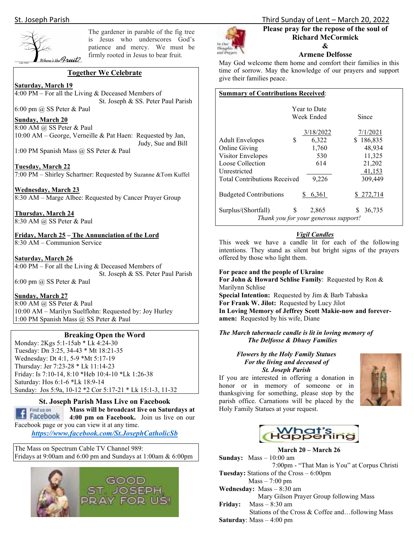

The gardener in parable of the fig tree is Jesus who underscores God's patience and mercy. We must be firmly rooted in Jesus to bear fruit.

### **Together We Celebrate**

#### **Saturday, March 19**

4:00 PM – For all the Living  $&$  Deceased Members of St. Joseph & SS. Peter Paul Parish

#### 6:00 pm @ SS Peter & Paul **Sunday, March 20**

8:00 AM @ SS Peter & Paul 10:00 AM – George, Verneille & Pat Haen: Requested by Jan, Judy, Sue and Bill

1:00 PM Spanish Mass @ SS Peter & Paul

**Tuesday, March 22**  7:00 PM – Shirley Schartner: Requested by Suzanne &Tom Kuffel

#### **Wednesday, March 23**

8:30 AM – Marge Albee: Requested by Cancer Prayer Group

**Thursday, March 24**  8:30 AM @ SS Peter & Paul

**Friday, March 25 – The Annunciation of the Lord**  8:30 AM – Communion Service

#### **Saturday, March 26**

4:00 PM – For all the Living  $&$  Deceased Members of St. Joseph & SS. Peter Paul Parish 6:00 pm @ SS Peter & Paul

**Sunday, March 27**  8:00 AM @ SS Peter & Paul 10:00 AM – Marilyn Suelflohn: Requested by: Joy Hurley 1:00 PM Spanish Mass @ SS Peter & Paul

#### **Breaking Open the Word**

Monday: 2Kgs 5:1-15ab \* Lk 4:24-30 Tuesday: Dn 3:25, 34-43 \* Mt 18:21-35 Wednesday: Dt 4:1, 5-9 \*Mt 5:17-19 Thursday: Jer 7:23-28 \* Lk 11:14-23 Friday: Is 7:10-14, 8:10 \*Heb 10:4-10 \*Lk 1:26-38 Saturday: Hos 6:1-6 \*Lk 18:9-14 Sunday: Jos 5:9a, 10-12 \*2 Cor 5:17-21 \* Lk 15:1-3, 11-32

## Find us on f Facebook

**St. Joseph Parish Mass Live on Facebook Mass will be broadcast live on Saturdays at** 

**4:00 pm on Facebook.** Join us live on our Facebook page or you can view it at any time.

*https://www.facebook.com/St.JosephCatholicSb* 

The Mass on Spectrum Cable TV Channel 989: Fridays at 9:00am and 6:00 pm and Sundays at 1:00am & 6:00pm





# St. Joseph Parish Third Sunday of Lent – March 20, 2022

#### **Please pray for the repose of the soul of Richard McCormick &**

#### **Armene Delfosse**

May God welcome them home and comfort their families in this time of sorrow. May the knowledge of our prayers and support give their families peace.

#### **Summary of Contributions Received**:

|                                     | Year to Date<br>Week Ended                    | Since       |
|-------------------------------------|-----------------------------------------------|-------------|
|                                     | 3/18/2022                                     | 7/1/2021    |
| S<br><b>Adult Envelopes</b>         | 6,322                                         | \$186,835   |
| Online Giving                       | 1,760                                         | 48,934      |
| Visitor Envelopes                   | 530                                           | 11,325      |
| Loose Collection                    | 614                                           | 21,202      |
| Unrestricted                        |                                               | 41.153      |
| <b>Total Contributions Received</b> | 9,226                                         | 309,449     |
| <b>Budgeted Contributions</b>       | 6,361                                         | \$272,714   |
|                                     |                                               |             |
| S<br>Surplus/(Shortfall)            | 2,865<br>Thank you for your generous support! | 36,735<br>S |

#### *Vigil Candles*

This week we have a candle lit for each of the following intentions. They stand as silent but bright signs of the prayers offered by those who light them.

#### **For peace and the people of Ukraine**

**For John & Howard Schlise Family**: Requested by Ron & Marilynn Schlise **Special Intention:** Requested by Jim & Barb Tabaska **For Frank W. Jilot:** Requested by Lucy Jilot **In Loving Memory of Jeffrey Scott Makie-now and foreveramen:** Requested by his wife, Diane

#### *The March tabernacle candle is lit in loving memory of The Delfosse & Dhuey Families*

#### *Flowers by the Holy Family Statues For the living and deceased of St. Joseph Parish*

If you are interested in offering a donation in honor or in memory of someone or in thanksgiving for something, please stop by the parish office. Carnations will be placed by the Holy Family Statues at your request.





**March 20 – March 26 Sunday:** Mass – 10:00 am 7:00pm - "That Man is You" at Corpus Christi **Tuesday:** Stations of the Cross – 6:00pm Mass – 7:00 pm **Wednesday:** Mass – 8:30 am Mary Gilson Prayer Group following Mass **Friday:** Mass – 8:30 am Stations of the Cross & Coffee and…following Mass

**Saturday**: Mass – 4:00 pm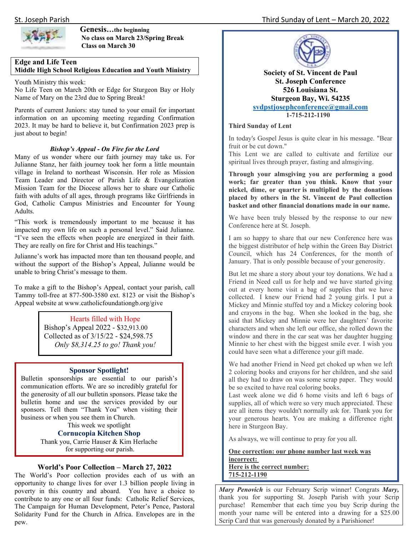

#### **Genesis…the beginning No class on March 23/Spring Break Class on March 30**

#### **Edge and Life Teen Middle High School Religious Education and Youth Ministry**

Youth Ministry this week:

No Life Teen on March 20th or Edge for Sturgeon Bay or Holy Name of Mary on the 23rd due to Spring Break!

Parents of current Juniors: stay tuned to your email for important information on an upcoming meeting regarding Confirmation 2023. It may be hard to believe it, but Confirmation 2023 prep is just about to begin!

#### *Bishop's Appeal - On Fire for the Lord*

Many of us wonder where our faith journey may take us. For Julianne Stanz, her faith journey took her form a little mountain village in Ireland to northeast Wisconsin. Her role as Mission Team Leader and Director of Parish Life & Evangelization Mission Team for the Diocese allows her to share our Catholic faith with adults of all ages, through programs like Girlfriends in God, Catholic Campus Ministries and Encounter for Young Adults.

"This work is tremendously important to me because it has impacted my own life on such a personal level." Said Julianne. "I've seen the effects when people are energized in their faith. They are really on fire for Christ and His teachings."

Julianne's work has impacted more than ten thousand people, and without the support of the Bishop's Appeal, Julianne would be unable to bring Christ's message to them.

To make a gift to the Bishop's Appeal, contact your parish, call Tammy toll-free at 877-500-3580 ext. 8123 or visit the Bishop's Appeal website at www.catholicfoundationgb.org/give

#### Hearts filled with Hope

Bishop's Appeal 2022 - \$32,913.00 Collected as of 3/15/22 - \$24,598.75 *Only \$8,314.25 to go! Thank you!* 

#### **Sponsor Spotlight!**

 business or when you see them in Church. Bulletin sponsorships are essential to our parish's communication efforts. We are so incredibly grateful for the generosity of all our bulletin sponsors. Please take the bulletin home and use the services provided by our sponsors. Tell them "Thank You" when visiting their

This week we spotlight **Cornucopia Kitchen Shop** 

Thank you, Carrie Hauser & Kim Herlache for supporting our parish.

#### **World's Poor Collection – March 27, 2022**

The World's Poor collection provides each of us with an opportunity to change lives for over 1.3 billion people living in poverty in this country and aboard. You have a choice to contribute to any one or all four funds: Catholic Relief Services, The Campaign for Human Development, Peter's Pence, Pastoral Solidarity Fund for the Church in Africa. Envelopes are in the pew.



**Society of St. Vincent de Paul St. Joseph Conference 526 Louisiana St. Sturgeon Bay, Wi. 54235 svdpstjosephconference@gmail.com 1-715-212-1190**

#### **Third Sunday of Lent**

In today's Gospel Jesus is quite clear in his message. "Bear fruit or be cut down."

This Lent we are called to cultivate and fertilize our spiritual lives through prayer, fasting and almsgiving.

**Through your almsgiving you are performing a good work; far greater than you think. Know that your nickel, dime, or quarter is multiplied by the donations placed by others in the St. Vincent de Paul collection basket and other financial donations made in our name.**

We have been truly blessed by the response to our new Conference here at St. Joseph.

I am so happy to share that our new Conference here was the biggest distributor of help within the Green Bay District Council, which has 24 Conferences, for the month of January. That is only possible because of your generosity.

But let me share a story about your toy donations. We had a Friend in Need call us for help and we have started giving out at every home visit a bag of supplies that we have collected. I knew our Friend had 2 young girls. I put a Mickey and Minnie stuffed toy and a Mickey coloring book and crayons in the bag. When she looked in the bag, she said that Mickey and Minnie were her daughters' favorite characters and when she left our office, she rolled down the window and there in the car seat was her daughter hugging Minnie to her chest with the biggest smile ever. I wish you could have seen what a difference your gift made.

We had another Friend in Need get choked up when we left 2 coloring books and crayons for her children, and she said all they had to draw on was some scrap paper. They would be so excited to have real coloring books.

Last week alone we did 6 home visits and left 6 bags of supplies, all of which were so very much appreciated. These are all items they wouldn't normally ask for. Thank you for your generous hearts. You are making a difference right here in Sturgeon Bay.

As always, we will continue to pray for you all.

**One correction: our phone number last week was incorrect: Here is the correct number: 715-212-1190**

*Mary Penovich* is our February Scrip winner! Congrats *Mary,* thank you for supporting St. Joseph Parish with your Scrip purchase! Remember that each time you buy Scrip during the month your name will be entered into a drawing for a \$25.00 Scrip Card that was generously donated by a Parishioner!